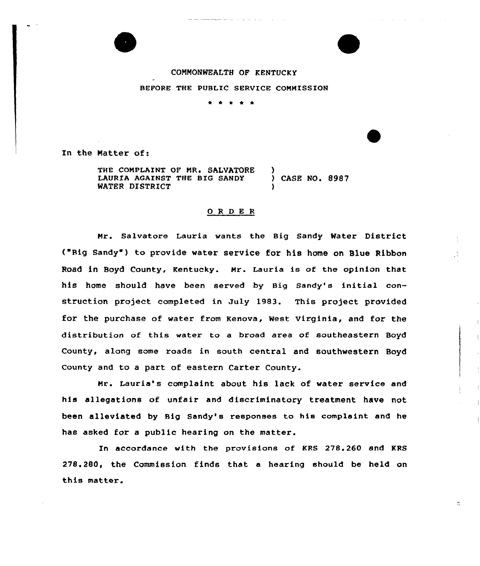## COMMONWEALTH OF KENTUCKY BEFORE THE PUBLIC SERVICE COMMISSION

\* \* \* \* \*

In the Natter of:

THE COMPLAINT OF MR. SALVATORE )<br>LAURIA AGAINST THE BIG SANDY ) LAURIA AGAINST THE BIG SANDY ) CASE NO. 8987 WATER DISTRICT

## $0$  R D E R

Mr. Salvatore Lauria wants the Big Sandy Water District ("Rig Sandy" ) to pxavide water service for his home on Slue Ribbon Road in Boyd County, Kentucky. Mr. Lauria is of the opinion that his home should have been served by Big Sandy's initial construction project completed in July 1983. This project provided for the purchase of water from Kenova, West Virginia, and for the distribution of this water to a broad area of southeastern Boyd County, along some roads in south central and southwestern Boyd County and to a part of eastern Carter County.

Mr. Lauria's complaint about his lack of watex service and his allegations of unfair and discriminatory treatment have not been alleviated by Big Sandy's responses to his complaint and he has asked for a public hearing on the matter.

In accordance with the provisions of KRS 278.260 and KRS 278.280, the Commission finds that a hearing should be held on this matter.

 $\mathcal{V}_1^{\bullet}$  .